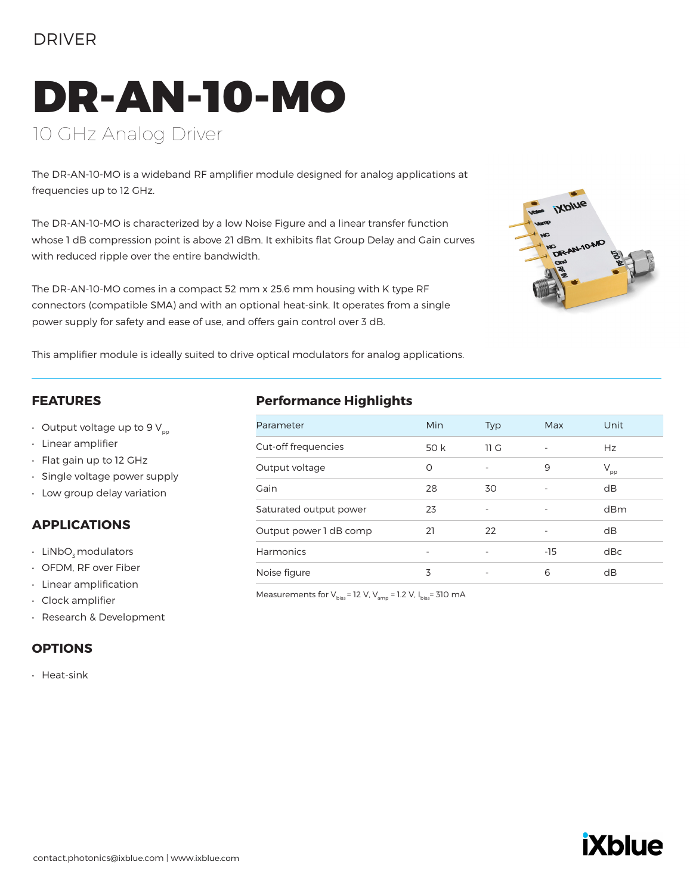## DRIVER

# DR-AN-10-MO 10 GHz Analog Driver

The DR-AN-10-MO is a wideband RF amplifier module designed for analog applications at frequencies up to 12 GHz.

The DR-AN-10-MO is characterized by a low Noise Figure and a linear transfer function whose 1 dB compression point is above 21 dBm. It exhibits flat Group Delay and Gain curves with reduced ripple over the entire bandwidth.

The DR-AN-10-MO comes in a compact 52 mm x 25.6 mm housing with K type RF connectors (compatible SMA) and with an optional heat-sink. It operates from a single power supply for safety and ease of use, and offers gain control over 3 dB.



This amplifier module is ideally suited to drive optical modulators for analog applications.

#### **FEATURES**

- Output voltage up to 9  $V_{\text{pp}}$
- Linear amplifier
- Flat gain up to 12 GHz
- Single voltage power supply
- Low group delay variation

#### **APPLICATIONS**

- LiNbO<sub>z</sub> modulators
- OFDM, RF over Fiber
- Linear amplification
- Clock amplifier
- Research & Development

#### **OPTIONS**

• Heat-sink

### **Performance Highlights**

| Parameter              | <b>Min</b> | <b>Typ</b>               | Max                      | Unit         |
|------------------------|------------|--------------------------|--------------------------|--------------|
| Cut-off frequencies    | 50 k       | 11 G                     |                          | Hz           |
| Output voltage         | O          | $\overline{\phantom{0}}$ | 9                        | $\rm V_{pp}$ |
| Gain                   | 28         | 30                       |                          | dB           |
| Saturated output power | 23         | $\qquad \qquad -$        | ٠                        | dBm          |
| Output power 1 dB comp | 21         | 22                       | $\overline{\phantom{0}}$ | dB           |
| Harmonics              |            | $\overline{\phantom{a}}$ | $-15$                    | dBc          |
| Noise figure           | 3          | $\qquad \qquad -$        | 6                        | dB           |
|                        |            |                          |                          |              |

Measurements for  $V_{bias}$  = 12 V,  $V_{amp}$  = 1.2 V,  $I_{bias}$  = 310 mA

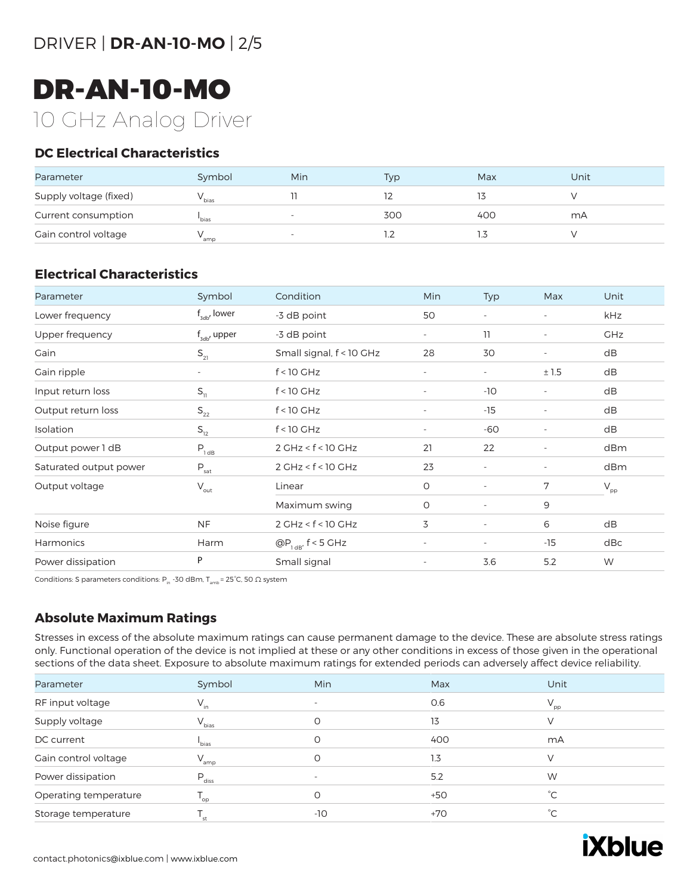# DR-AN-10-MO 10 GHz Analog Driver

### **DC Electrical Characteristics**

| Parameter              | Symbol            | Min                      | <b>Typ</b> | Max  | Unit |
|------------------------|-------------------|--------------------------|------------|------|------|
| Supply voltage (fixed) | v bias            |                          |            |      |      |
| Current consumption    | bias <sup>'</sup> |                          | 300        | 400  | mA   |
| Gain control voltage   | ' amp             | $\overline{\phantom{a}}$ |            | ر. ا |      |

### **Electrical Characteristics**

| Parameter              | Symbol                      | Condition                | Min                      | Typ                      | Max                      | Unit                       |
|------------------------|-----------------------------|--------------------------|--------------------------|--------------------------|--------------------------|----------------------------|
| Lower frequency        | $f_{sub}$ , lower           | -3 dB point              | 50                       | $\overline{\phantom{a}}$ | $\overline{\phantom{a}}$ | kHz                        |
| Upper frequency        | $f_{\rm adv}$ upper         | -3 dB point              | $\overline{\phantom{a}}$ | 11                       | $\overline{\phantom{a}}$ | <b>GHz</b>                 |
| Gain                   | $S_{21}$                    | Small signal, f < 10 GHz | 28                       | 30                       | $\overline{\phantom{a}}$ | dB                         |
| Gain ripple            | $\overline{\phantom{0}}$    | $f < 10$ GHz             | $\overline{\phantom{a}}$ | $\overline{\phantom{a}}$ | ±1.5                     | dB                         |
| Input return loss      | $S_{11}$                    | $f < 10$ GHz             | $\overline{\phantom{a}}$ | $-10$                    | $\overline{\phantom{a}}$ | dB                         |
| Output return loss     | $\mathsf{S}_{\mathsf{22}}$  | $f < 10$ GHz             | $\overline{\phantom{a}}$ | $-15$                    | $\overline{\phantom{a}}$ | dB                         |
| Isolation              | $S_{12}$                    | $f < 10$ GHz             | $\overline{\phantom{a}}$ | -60                      |                          | dB                         |
| Output power 1 dB      | $P_{1 dB}$                  | $2$ GHz < $f$ < 10 GHz   | 21                       | 22                       | $\overline{\phantom{a}}$ | dBm                        |
| Saturated output power | $\mathsf{P}_{\sf sat}$      | $2$ GHz < $f$ < 10 GHz   | 23                       | $\overline{\phantom{a}}$ | $\overline{\phantom{a}}$ | dBm                        |
| Output voltage         | $\mathsf{V}_{\mathsf{out}}$ | Linear                   | O                        | $\overline{\phantom{a}}$ | 7                        | $\mathsf{V}_{\mathsf{pp}}$ |
|                        |                             | Maximum swing            | O                        | $\overline{\phantom{a}}$ | 9                        |                            |
| Noise figure           | <b>NF</b>                   | $2$ GHz < $f$ < 10 GHz   | 3                        | $\overline{\phantom{a}}$ | 6                        | dB                         |
| Harmonics              | Harm                        | $@P_{1dB'}$ f < 5 GHz    | $\overline{\phantom{a}}$ | $\overline{\phantom{a}}$ | $-15$                    | dBc                        |
| Power dissipation      | P                           | Small signal             | $\overline{\phantom{a}}$ | 3.6                      | 5.2                      | W                          |

Conditions: S parameters conditions: P<sub>in</sub> -30 dBm, T<sub>amb</sub> = 25°C, 50  $\Omega$  system

### **Absolute Maximum Ratings**

Stresses in excess of the absolute maximum ratings can cause permanent damage to the device. These are absolute stress ratings only. Functional operation of the device is not implied at these or any other conditions in excess of those given in the operational sections of the data sheet. Exposure to absolute maximum ratings for extended periods can adversely affect device reliability.

| Parameter             | Symbol                     | Min      | Max   | Unit            |
|-----------------------|----------------------------|----------|-------|-----------------|
| RF input voltage      | $V_{in}$                   |          | 0.6   | $V_{\text{pp}}$ |
| Supply voltage        | $V_{bias}$                 | $\Omega$ | 13    |                 |
| DC current            | <sup>'</sup> bias          | O        | 400   | mA              |
| Gain control voltage  | $V_{amp}$                  | O        | 1.3   | V               |
| Power dissipation     | $P_{\text{diss}}$          |          | 5.2   | W               |
| Operating temperature | $\mathsf{T}_{\mathsf{op}}$ |          | $+50$ | $^{\circ}$ C    |
| Storage temperature   | st                         | $-10$    | $+70$ | °С              |

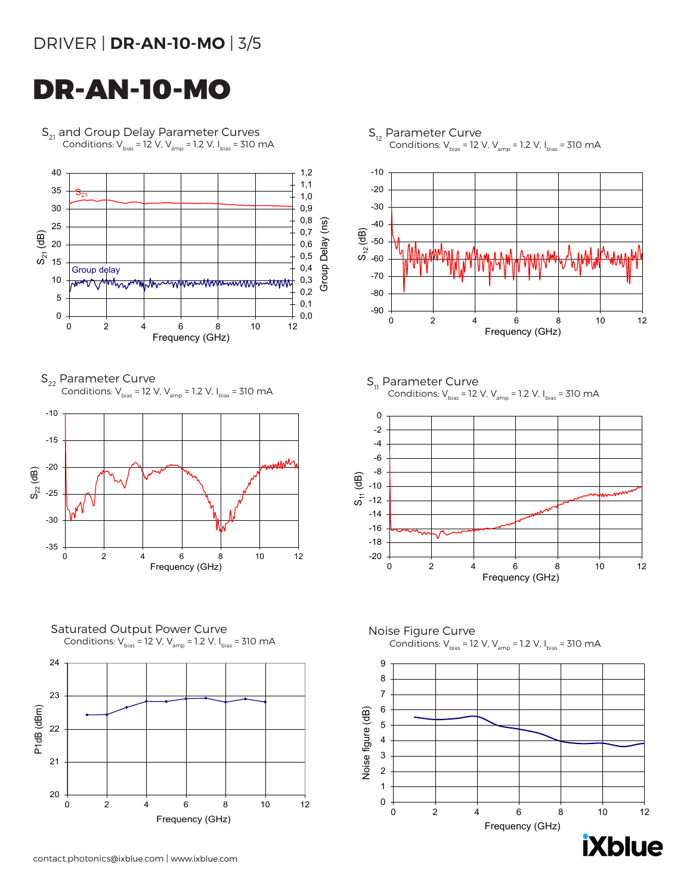## DRIVER | **DR-AN-10-MO** | 3/5

# DR-AN-10-MO

 $S_{21}$  and Group Delay Parameter Curves Conditions:  $V_{bias} = 12 V$ ,  $V_{amp} = 1.2 V$ ,  $I_{bias} = 310 mA$ 



 $S_{22}$  Parameter Curve Conditions:  $V_{bias}$  = 12 V,  $V_{amp}$  = 1.2 V,  $I_{bias}$  = 310 mA



Saturated Output Power Curve Conditions:  $V_{bias} = 12 V$ ,  $V_{amp} = 1.2 V$ ,  $I_{bias} = 310 mA$ 



S<sub>12</sub> Parameter Curve Conditions:  $V_{bias}$  = 12 V,  $V_{amp}$  = 1.2 V, I $_{bias}$  = 310 mA



 $S_{11}$  Parameter Curve Conditions:  $V_{bias} = 12 V$ ,  $V_{amp} = 1.2 V$ ,  $I_{bias} = 310 mA$ 







**iXblue**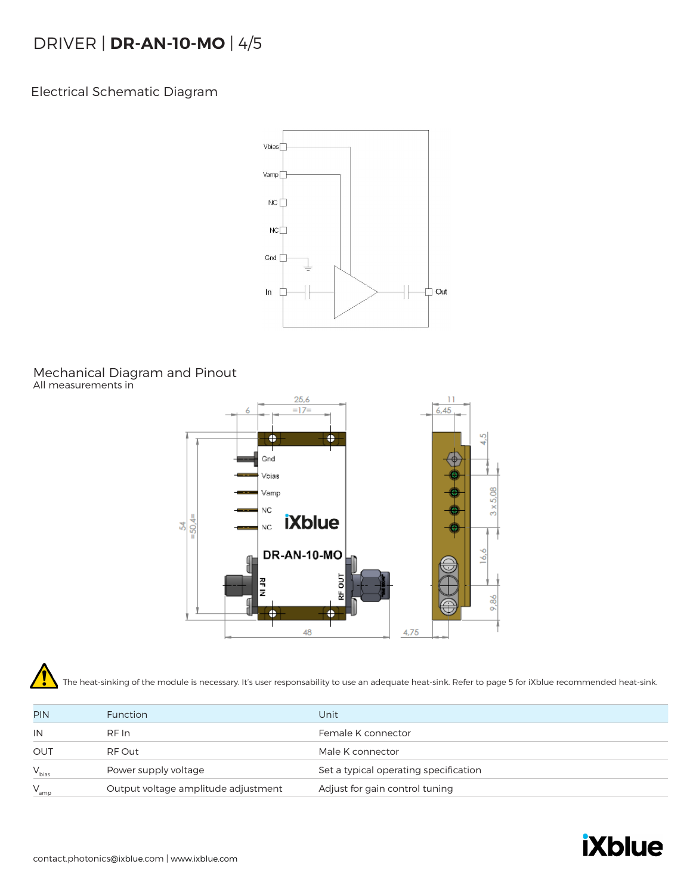## DRIVER | **DR-AN-10-MO** | 4/5

Electrical Schematic Diagram



#### Mechanical Diagram and Pinout All measurements in



The heat-sinking of the module is necessary. It's user responsability to use an adequate heat-sink. Refer to page 5 for iXblue recommended heat-sink.

| <b>PIN</b> | <b>Function</b>                     | Unit                                  |
|------------|-------------------------------------|---------------------------------------|
| IN         | RF In                               | Female K connector                    |
| OUT        | RF Out                              | Male K connector                      |
| $V_{bias}$ | Power supply voltage                | Set a typical operating specification |
| $V_{amp}$  | Output voltage amplitude adjustment | Adjust for gain control tuning        |